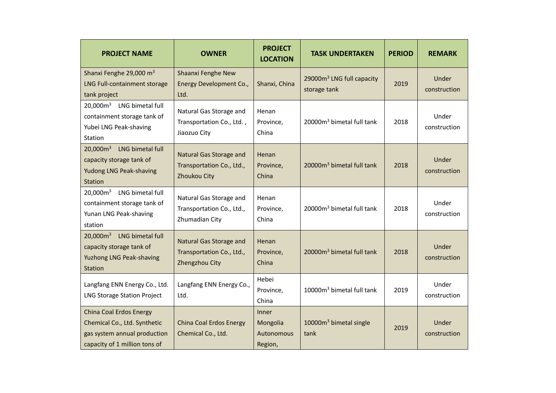| <b>PROJECT NAME</b>                                                                                                             | <b>OWNER</b>                                                                | <b>PROJECT</b><br><b>LOCATION</b>          | <b>TASK UNDERTAKEN</b>                                | <b>PERIOD</b> | <b>REMARK</b>         |
|---------------------------------------------------------------------------------------------------------------------------------|-----------------------------------------------------------------------------|--------------------------------------------|-------------------------------------------------------|---------------|-----------------------|
| Shanxi Fenghe 29,000 m <sup>3</sup><br>LNG Full-containment storage<br>tank project                                             | Shaanxi Fenghe New<br><b>Energy Development Co.,</b><br>Ltd.                | Shanxi, China                              | 29000m <sup>3</sup> LNG full capacity<br>storage tank | 2019          | Under<br>construction |
| 20,000m <sup>3</sup> LNG bimetal full<br>containment storage tank of<br>Yubei LNG Peak-shaving<br>Station                       | Natural Gas Storage and<br>Transportation Co., Ltd.,<br>Jiaozuo City        | Henan<br>Province,<br>China                | 20000m <sup>3</sup> bimetal full tank                 | 2018          | Under<br>construction |
| $20,000m^3$<br>LNG bimetal full<br>capacity storage tank of<br>Yudong LNG Peak-shaving<br>Station                               | <b>Natural Gas Storage and</b><br>Transportation Co., Ltd.,<br>Zhoukou City | Henan<br>Province,<br>China                | 20000m <sup>3</sup> bimetal full tank                 | 2018          | Under<br>construction |
| 20,000m <sup>3</sup> LNG bimetal full<br>containment storage tank of<br>Yunan LNG Peak-shaving<br>station                       | Natural Gas Storage and<br>Transportation Co., Ltd.,<br>Zhumadian City      | Henan<br>Province,<br>China                | 20000m <sup>3</sup> bimetal full tank                 | 2018          | Under<br>construction |
| 20,000m <sup>3</sup><br>LNG bimetal full<br>capacity storage tank of<br>Yuzhong LNG Peak-shaving<br>Station                     | Natural Gas Storage and<br>Transportation Co., Ltd.,<br>Zhengzhou City      | Henan<br>Province,<br>China                | 20000m <sup>3</sup> bimetal full tank                 | 2018          | Under<br>construction |
| Langfang ENN Energy Co., Ltd.<br><b>LNG Storage Station Project</b>                                                             | Langfang ENN Energy Co.,<br>Ltd.                                            | Hebei<br>Province,<br>China                | 10000m <sup>3</sup> bimetal full tank                 | 2019          | Under<br>construction |
| <b>China Coal Erdos Energy</b><br>Chemical Co., Ltd. Synthetic<br>gas system annual production<br>capacity of 1 million tons of | <b>China Coal Erdos Energy</b><br>Chemical Co., Ltd.                        | Inner<br>Mongolia<br>Autonomous<br>Region, | 10000m <sup>3</sup> bimetal single<br>tank            | 2019          | Under<br>construction |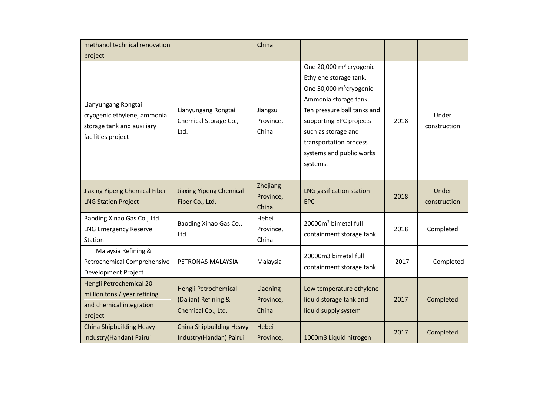| methanol technical renovation                                                                          |                                                                   | China                          |                                                                                                                                                                                                                                                                        |      |                       |
|--------------------------------------------------------------------------------------------------------|-------------------------------------------------------------------|--------------------------------|------------------------------------------------------------------------------------------------------------------------------------------------------------------------------------------------------------------------------------------------------------------------|------|-----------------------|
| project                                                                                                |                                                                   |                                |                                                                                                                                                                                                                                                                        |      |                       |
| Lianyungang Rongtai<br>cryogenic ethylene, ammonia<br>storage tank and auxiliary<br>facilities project | Lianyungang Rongtai<br>Chemical Storage Co.,<br>Ltd.              | Jiangsu<br>Province,<br>China  | One 20,000 $m3$ cryogenic<br>Ethylene storage tank.<br>One 50,000 m <sup>3</sup> cryogenic<br>Ammonia storage tank.<br>Ten pressure ball tanks and<br>supporting EPC projects<br>such as storage and<br>transportation process<br>systems and public works<br>systems. | 2018 | Under<br>construction |
| Jiaxing Yipeng Chemical Fiber<br><b>LNG Station Project</b>                                            | <b>Jiaxing Yipeng Chemical</b><br>Fiber Co., Ltd.                 | Zhejiang<br>Province,<br>China | LNG gasification station<br><b>EPC</b>                                                                                                                                                                                                                                 | 2018 | Under<br>construction |
| Baoding Xinao Gas Co., Ltd.<br><b>LNG Emergency Reserve</b><br>Station                                 | Baoding Xinao Gas Co.,<br>Ltd.                                    | Hebei<br>Province,<br>China    | 20000m <sup>3</sup> bimetal full<br>containment storage tank                                                                                                                                                                                                           | 2018 | Completed             |
| Malaysia Refining &<br>Petrochemical Comprehensive<br>Development Project                              | PETRONAS MALAYSIA                                                 | Malaysia                       | 20000m3 bimetal full<br>containment storage tank                                                                                                                                                                                                                       | 2017 | Completed             |
| Hengli Petrochemical 20<br>million tons / year refining<br>and chemical integration<br>project         | Hengli Petrochemical<br>(Dalian) Refining &<br>Chemical Co., Ltd. | Liaoning<br>Province,<br>China | Low temperature ethylene<br>liquid storage tank and<br>liquid supply system                                                                                                                                                                                            | 2017 | Completed             |
| <b>China Shipbuilding Heavy</b><br>Industry(Handan) Pairui                                             | <b>China Shipbuilding Heavy</b><br>Industry(Handan) Pairui        | Hebei<br>Province,             | 1000m3 Liquid nitrogen                                                                                                                                                                                                                                                 | 2017 | Completed             |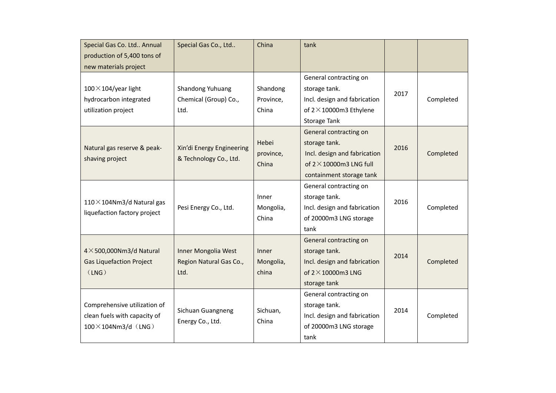| Special Gas Co. Ltd Annual        | Special Gas Co., Ltd      | China     | tank                            |      |           |
|-----------------------------------|---------------------------|-----------|---------------------------------|------|-----------|
| production of 5,400 tons of       |                           |           |                                 |      |           |
| new materials project             |                           |           |                                 |      |           |
|                                   |                           |           | General contracting on          |      |           |
| $100 \times 104$ /year light      | Shandong Yuhuang          | Shandong  | storage tank.                   | 2017 |           |
| hydrocarbon integrated            | Chemical (Group) Co.,     | Province, | Incl. design and fabrication    |      | Completed |
| utilization project               | Ltd.                      | China     | of $2 \times 10000$ m3 Ethylene |      |           |
|                                   |                           |           | Storage Tank                    |      |           |
|                                   |                           |           | General contracting on          |      |           |
|                                   |                           | Hebei     | storage tank.                   | 2016 |           |
| Natural gas reserve & peak-       | Xin'di Energy Engineering | province, | Incl. design and fabrication    |      | Completed |
| shaving project                   | & Technology Co., Ltd.    | China     | of $2 \times 10000$ m3 LNG full |      |           |
|                                   |                           |           | containment storage tank        |      |           |
|                                   |                           |           | General contracting on          |      |           |
|                                   |                           | Inner     | storage tank.                   |      |           |
| 110 $\times$ 104Nm3/d Natural gas | Pesi Energy Co., Ltd.     | Mongolia, | Incl. design and fabrication    | 2016 | Completed |
| liquefaction factory project      |                           | China     | of 20000m3 LNG storage          |      |           |
|                                   |                           |           | tank                            |      |           |
|                                   |                           |           | General contracting on          |      |           |
| $4 \times$ 500,000Nm3/d Natural   | Inner Mongolia West       | Inner     | storage tank.                   | 2014 |           |
| <b>Gas Liquefaction Project</b>   | Region Natural Gas Co.,   | Mongolia, | Incl. design and fabrication    |      | Completed |
| (LNG)                             | Ltd.                      | china     | of $2 \times 10000$ m3 LNG      |      |           |
|                                   |                           |           | storage tank                    |      |           |
|                                   |                           |           | General contracting on          |      |           |
| Comprehensive utilization of      |                           |           | storage tank.                   |      |           |
| clean fuels with capacity of      | Sichuan Guangneng         | Sichuan,  | Incl. design and fabrication    | 2014 | Completed |
| $100 \times 104$ Nm3/d (LNG)      | Energy Co., Ltd.          | China     | of 20000m3 LNG storage          |      |           |
|                                   |                           |           | tank                            |      |           |